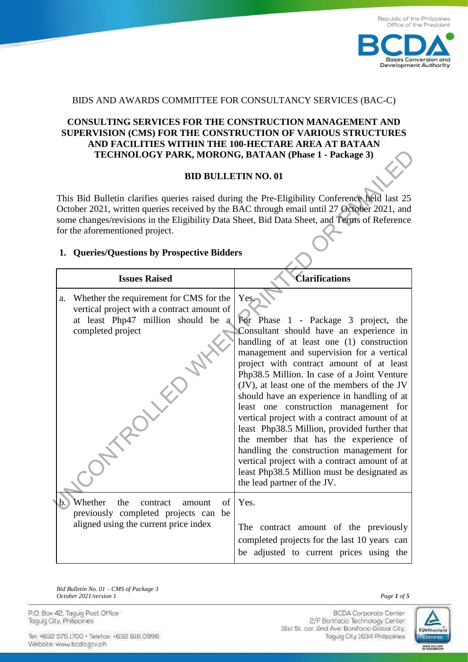

## BIDS AND AWARDS COMMITTEE FOR CONSULTANCY SERVICES (BAC-C)

## **CONSULTING SERVICES FOR THE CONSTRUCTION MANAGEMENT AND SUPERVISION (CMS) FOR THE CONSTRUCTION OF VARIOUS STRUCTURES AND FACILITIES WITHIN THE 100-HECTARE AREA AT BATAAN TECHNOLOGY PARK, MORONG, BATAAN (Phase 1 - Package 3)**

## **BID BULLETIN NO. 01**

## **1. Queries/Questions by Prospective Bidders**

|                                                                                                                                                                                                                                                                                                                                | TECHNOLOGY PARK, MORONG, BATAAN (Phase 1 - Package 3)                                                                                            |                                                                                                                                                                                                                                                                                                                                                                                                                                                                                                                                                                                                                                                                                                                                          |  |  |  |  |  |  |
|--------------------------------------------------------------------------------------------------------------------------------------------------------------------------------------------------------------------------------------------------------------------------------------------------------------------------------|--------------------------------------------------------------------------------------------------------------------------------------------------|------------------------------------------------------------------------------------------------------------------------------------------------------------------------------------------------------------------------------------------------------------------------------------------------------------------------------------------------------------------------------------------------------------------------------------------------------------------------------------------------------------------------------------------------------------------------------------------------------------------------------------------------------------------------------------------------------------------------------------------|--|--|--|--|--|--|
|                                                                                                                                                                                                                                                                                                                                | <b>BID BULLETIN NO. 01</b>                                                                                                                       |                                                                                                                                                                                                                                                                                                                                                                                                                                                                                                                                                                                                                                                                                                                                          |  |  |  |  |  |  |
| This Bid Bulletin clarifies queries raised during the Pre-Eligibility Conference held last 25<br>October 2021, written queries received by the BAC through email until 27 October 2021, and<br>some changes/revisions in the Eligibility Data Sheet, Bid Data Sheet, and Terms of Reference<br>for the aforementioned project. |                                                                                                                                                  |                                                                                                                                                                                                                                                                                                                                                                                                                                                                                                                                                                                                                                                                                                                                          |  |  |  |  |  |  |
|                                                                                                                                                                                                                                                                                                                                | 1. Queries/Questions by Prospective Bidders                                                                                                      |                                                                                                                                                                                                                                                                                                                                                                                                                                                                                                                                                                                                                                                                                                                                          |  |  |  |  |  |  |
|                                                                                                                                                                                                                                                                                                                                | <b>Issues Raised</b>                                                                                                                             | <b>Clarifications</b>                                                                                                                                                                                                                                                                                                                                                                                                                                                                                                                                                                                                                                                                                                                    |  |  |  |  |  |  |
| a.                                                                                                                                                                                                                                                                                                                             | Whether the requirement for CMS for the<br>vertical project with a contract amount of<br>at least Php47 million should be a<br>completed project | Yes.<br>For Phase 1 - Package 3 project, the<br>Consultant should have an experience in<br>handling of at least one (1) construction<br>management and supervision for a vertical<br>project with contract amount of at least<br>Php38.5 Million. In case of a Joint Venture<br>(JV), at least one of the members of the JV<br>should have an experience in handling of at<br>least one construction management for<br>vertical project with a contract amount of at<br>least Php38.5 Million, provided further that<br>the member that has the experience of<br>handling the construction management for<br>vertical project with a contract amount of at<br>least Php38.5 Million must be designated as<br>the lead partner of the JV. |  |  |  |  |  |  |
| υ.,                                                                                                                                                                                                                                                                                                                            | Whether the contract amount<br>$\circ$ f<br>previously completed projects can be<br>aligned using the current price index                        | Yes.<br>The contract amount of the previously<br>completed projects for the last 10 years can<br>be adjusted to current prices using the                                                                                                                                                                                                                                                                                                                                                                                                                                                                                                                                                                                                 |  |  |  |  |  |  |

*Bid Bulletin No. 01 – CMS of Package 3 October 2021/version 1* Page 1 of 5

P.O. Box 42. Taguig Post Office Taguig City, Philippines

Tel: +632 575 1700 · Telefax: +632 816 0996 Website: www.bcda.gov.ph

**BCDA** Corporate Center 2/F Bonifacio Technology Center 31st St. cor. 2nd Ave. Bonifacio Global City, Taguig City 1634 Philippines

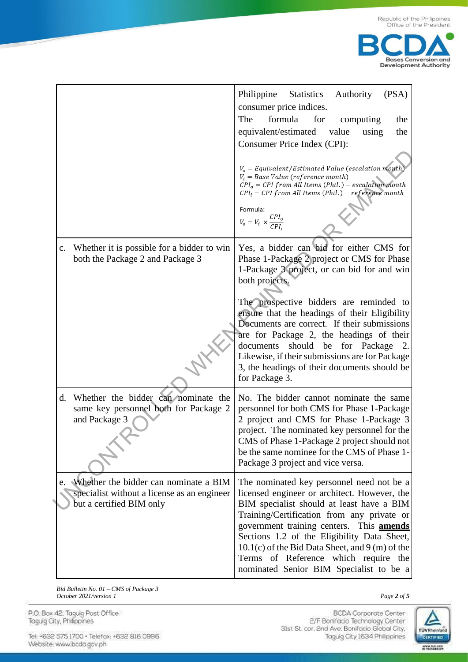



|                                                                                                                     | Philippine Statistics<br>Authority<br>(PSA)<br>consumer price indices.<br>The<br>formula<br>for<br>computing<br>the<br>equivalent/estimated value<br>the<br>using<br>Consumer Price Index (CPI):<br>$V_o = \textit{Equivalent}/\textit{Estimated Value}$ (escalation month)<br>$V_i = Base Value (reference month)$<br>$CPI_o = CPI$ from All Items (Phil.) – escalation month<br>$CPI_i = CPI$ from All Items (Phil.) – reference month<br>Formula:<br>$V_o = V_i \times \frac{CPI_o}{CPI_i}$                 |
|---------------------------------------------------------------------------------------------------------------------|----------------------------------------------------------------------------------------------------------------------------------------------------------------------------------------------------------------------------------------------------------------------------------------------------------------------------------------------------------------------------------------------------------------------------------------------------------------------------------------------------------------|
| Whether it is possible for a bidder to win<br>$\mathbf{c}$ .<br>both the Package 2 and Package 3                    | Yes, a bidder can bid for either CMS for<br>Phase 1-Package 2 project or CMS for Phase<br>1-Package 3 project, or can bid for and win<br>both projects.<br>The prospective bidders are reminded to<br>ensure that the headings of their Eligibility<br>Documents are correct. If their submissions<br>are for Package 2, the headings of their<br>should be for Package<br>documents<br>2.<br>Likewise, if their submissions are for Package<br>3, the headings of their documents should be<br>for Package 3. |
| Whether the bidder can nominate the<br>d.<br>same key personnel both for Package 2<br>and Package 3                 | No. The bidder cannot nominate the same<br>personnel for both CMS for Phase 1-Package<br>2 project and CMS for Phase 1-Package 3<br>project. The nominated key personnel for the<br>CMS of Phase 1-Package 2 project should not<br>be the same nominee for the CMS of Phase 1-<br>Package 3 project and vice versa.                                                                                                                                                                                            |
| e. Whether the bidder can nominate a BIM<br>specialist without a license as an engineer<br>but a certified BIM only | The nominated key personnel need not be a<br>licensed engineer or architect. However, the<br>BIM specialist should at least have a BIM<br>Training/Certification from any private or<br>government training centers. This <b>amends</b><br>Sections 1.2 of the Eligibility Data Sheet,<br>$10.1(c)$ of the Bid Data Sheet, and 9 (m) of the<br>Terms of Reference which require the<br>nominated Senior BIM Specialist to be a                                                                                 |

*Bid Bulletin No. 01 – CMS of Package 3 October 2021/version 1* Page 2 of 5

P.O. Box 42. Taguig Post Office<br>Taguig City, Philippines

Tel: +632 575 1700 · Telefax: +632 816 0996 Website: www.bcda.gov.ph

BCDA Corporate Center<br>2/F Bonifacio Technology Center 31st St. cor. 2nd Ave. Bonifacio Global City, Taguig City 1634 Philippines

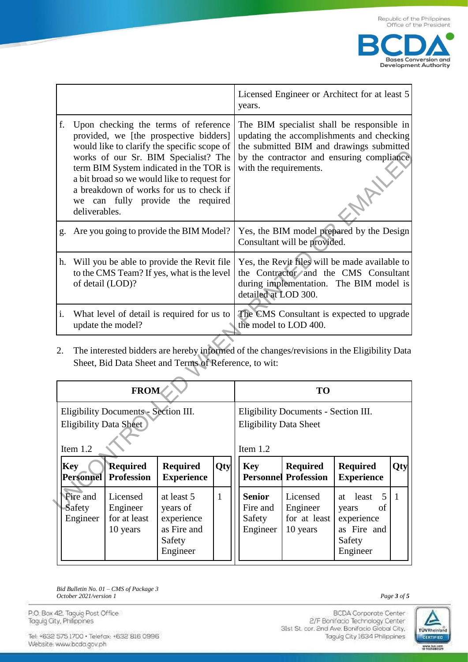

|                                                                                                                                                                                                                                                                                                                                                                        |                                                                                                                                                      |                                      |                                            | Licensed Engineer or Architect for at least 5<br>years.                           |                                                                                                                                                            |                                                                                                                                                                                                            |                                      |                                              |                |
|------------------------------------------------------------------------------------------------------------------------------------------------------------------------------------------------------------------------------------------------------------------------------------------------------------------------------------------------------------------------|------------------------------------------------------------------------------------------------------------------------------------------------------|--------------------------------------|--------------------------------------------|-----------------------------------------------------------------------------------|------------------------------------------------------------------------------------------------------------------------------------------------------------|------------------------------------------------------------------------------------------------------------------------------------------------------------------------------------------------------------|--------------------------------------|----------------------------------------------|----------------|
| f.<br>Upon checking the terms of reference<br>provided, we [the prospective bidders]<br>would like to clarify the specific scope of<br>works of our Sr. BIM Specialist? The<br>term BIM System indicated in the TOR is<br>a bit broad so we would like to request for<br>a breakdown of works for us to check if<br>we can fully provide the required<br>deliverables. |                                                                                                                                                      |                                      |                                            |                                                                                   |                                                                                                                                                            | The BIM specialist shall be responsible in<br>updating the accomplishments and checking<br>the submitted BIM and drawings submitted<br>by the contractor and ensuring compliance<br>with the requirements. |                                      |                                              |                |
| g.                                                                                                                                                                                                                                                                                                                                                                     |                                                                                                                                                      |                                      | Are you going to provide the BIM Model?    |                                                                                   |                                                                                                                                                            | Yes, the BIM model prepared by the Design<br>Consultant will be provided.                                                                                                                                  |                                      |                                              |                |
| Will you be able to provide the Revit file<br>h.<br>to the CMS Team? If yes, what is the level<br>of detail (LOD)?                                                                                                                                                                                                                                                     |                                                                                                                                                      |                                      |                                            |                                                                                   | Yes, the Revit files will be made available to<br>the Contractor and the CMS Consultant<br>during implementation. The BIM model is<br>detailed at LOD 300. |                                                                                                                                                                                                            |                                      |                                              |                |
| i.                                                                                                                                                                                                                                                                                                                                                                     |                                                                                                                                                      | update the model?                    | What level of detail is required for us to |                                                                                   | The CMS Consultant is expected to upgrade<br>the model to LOD 400.                                                                                         |                                                                                                                                                                                                            |                                      |                                              |                |
| 2.                                                                                                                                                                                                                                                                                                                                                                     | The interested bidders are hereby informed of the changes/revisions in the Eligibility Data<br>Sheet, Bid Data Sheet and Terms of Reference, to wit: |                                      |                                            |                                                                                   |                                                                                                                                                            |                                                                                                                                                                                                            |                                      |                                              |                |
| <b>FROM</b>                                                                                                                                                                                                                                                                                                                                                            |                                                                                                                                                      |                                      |                                            |                                                                                   | <b>TO</b>                                                                                                                                                  |                                                                                                                                                                                                            |                                      |                                              |                |
| Eligibility Documents - Section III.<br><b>Eligibility Data Sheet</b><br>Item 1.2                                                                                                                                                                                                                                                                                      |                                                                                                                                                      |                                      |                                            | Eligibility Documents - Section III.<br><b>Eligibility Data Sheet</b><br>Item 1.2 |                                                                                                                                                            |                                                                                                                                                                                                            |                                      |                                              |                |
|                                                                                                                                                                                                                                                                                                                                                                        | <b>Key</b><br><b>Personnel</b>                                                                                                                       | <b>Required</b><br><b>Profession</b> | <b>Required</b><br><b>Experience</b>       | Qty                                                                               |                                                                                                                                                            | Key<br>Personnel                                                                                                                                                                                           | <b>Required</b><br><b>Profession</b> | <b>Required</b><br><b>Experience</b>         | Qty            |
|                                                                                                                                                                                                                                                                                                                                                                        | Fire and<br>Safety                                                                                                                                   | Licensed<br>Engineer                 | at least 5<br>years of                     | $\mathbf{1}$                                                                      |                                                                                                                                                            | <b>Senior</b><br>Fire and                                                                                                                                                                                  | Licensed<br>Engineer                 | least<br>5 <sup>5</sup><br>at<br>years<br>of | $\overline{1}$ |

| <b>FROM</b>                                                                         |                                                  |                                                                           |              | <b>TO</b>                                                                           |                                                  |                                                                                    |                |  |
|-------------------------------------------------------------------------------------|--------------------------------------------------|---------------------------------------------------------------------------|--------------|-------------------------------------------------------------------------------------|--------------------------------------------------|------------------------------------------------------------------------------------|----------------|--|
| Eligibility Documents - Section III.<br><b>Eligibility Data Sheet</b><br>Item $1.2$ |                                                  |                                                                           |              | Eligibility Documents - Section III.<br><b>Eligibility Data Sheet</b><br>Item $1.2$ |                                                  |                                                                                    |                |  |
| <b>Key</b><br><b>Personnel</b>                                                      | <b>Required</b><br><b>Profession</b>             | <b>Required</b><br><b>Experience</b>                                      | Qty          | <b>Key</b>                                                                          | <b>Required</b><br><b>Personnel Profession</b>   | <b>Required</b><br><b>Experience</b>                                               | Qty            |  |
| Fire and<br><b>Safety</b><br>Engineer                                               | Licensed<br>Engineer<br>for at least<br>10 years | at least 5<br>years of<br>experience<br>as Fire and<br>Safety<br>Engineer | $\mathbf{1}$ | <b>Senior</b><br>Fire and<br>Safety<br>Engineer                                     | Licensed<br>Engineer<br>for at least<br>10 years | least $51$<br>at<br>of<br>years<br>experience<br>as Fire and<br>Safety<br>Engineer | $\overline{1}$ |  |

*Bid Bulletin No. 01 – CMS of Package 3 October 2021/version 1* Page 3 of 5

P.O. Box 42. Taguig Post Office Taguig City, Philippines

Tel: +632 575 1700 · Telefox: +632 816 0996 Website: www.bcda.gov.ph

2/F Bonifacio Technology Center 31st St. cor. 2nd Ave. Bonifacio Global City, Taguig City 1634 Philippines



**BCDA** Corporate Center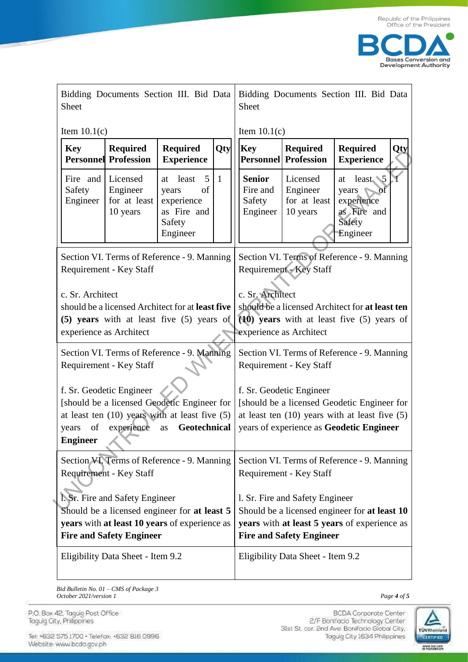

| Bidding Documents Section III. Bid Data<br>Sheet                                                                                                                                                |                                                                                               |                                                                                    | Bidding Documents Section III. Bid Data<br><b>Sheet</b>                                                                                                             |                                                                        |                                                                                                                                                                           |                                                  |                                                                                 |
|-------------------------------------------------------------------------------------------------------------------------------------------------------------------------------------------------|-----------------------------------------------------------------------------------------------|------------------------------------------------------------------------------------|---------------------------------------------------------------------------------------------------------------------------------------------------------------------|------------------------------------------------------------------------|---------------------------------------------------------------------------------------------------------------------------------------------------------------------------|--------------------------------------------------|---------------------------------------------------------------------------------|
| Item $10.1(c)$                                                                                                                                                                                  |                                                                                               |                                                                                    |                                                                                                                                                                     | Item $10.1(c)$                                                         |                                                                                                                                                                           |                                                  |                                                                                 |
| <b>Key</b>                                                                                                                                                                                      | <b>Required</b><br><b>Required</b><br>Qty<br><b>Personnel Profession</b><br><b>Experience</b> |                                                                                    |                                                                                                                                                                     |                                                                        | <b>Key</b>                                                                                                                                                                | <b>Required</b><br><b>Personnel Profession</b>   | <b>Required</b><br>Qty<br><b>Experience</b>                                     |
| Fire and<br>Safety<br>Engineer                                                                                                                                                                  | Licensed<br>Engineer<br>for at least<br>10 years                                              | 5<br>least<br>at<br>of<br>years<br>experience<br>as Fire and<br>Safety<br>Engineer | $\mathbf{1}$                                                                                                                                                        |                                                                        | <b>Senior</b><br>Fire and<br>Safety<br>Engineer                                                                                                                           | Licensed<br>Engineer<br>for at least<br>10 years | least 5<br>at<br>years<br>ōť<br>experience<br>as Fire and<br>Safety<br>Engineer |
| Section VI. Terms of Reference - 9. Manning<br>Requirement - Key Staff                                                                                                                          |                                                                                               |                                                                                    |                                                                                                                                                                     |                                                                        | Section VI. Terms of Reference - 9. Manning<br><b>Requirement - Key Staff</b>                                                                                             |                                                  |                                                                                 |
| c. Sr. Architect<br>should be a licensed Architect for at <b>least five</b><br>(5) years with at least five (5) years of<br>experience as Architect                                             |                                                                                               |                                                                                    |                                                                                                                                                                     |                                                                        | c. Sr. Architect<br>should be a licensed Architect for at least ten<br>$(10)$ years with at least five $(5)$ years of<br>experience as Architect                          |                                                  |                                                                                 |
| Section VI. Terms of Reference - 9. Manning<br>Requirement - Key Staff                                                                                                                          |                                                                                               |                                                                                    |                                                                                                                                                                     |                                                                        | Section VI. Terms of Reference - 9. Manning<br>Requirement - Key Staff                                                                                                    |                                                  |                                                                                 |
| f. Sr. Geodetic Engineer<br>[should be a licensed Geodetic Engineer for<br>at least ten (10) years with at least five (5)<br>Geotechnical<br>experience<br>of<br>years<br>as<br><b>Engineer</b> |                                                                                               |                                                                                    |                                                                                                                                                                     |                                                                        | f. Sr. Geodetic Engineer<br>[should be a licensed Geodetic Engineer for<br>at least ten $(10)$ years with at least five $(5)$<br>years of experience as Geodetic Engineer |                                                  |                                                                                 |
| Section VI. Terms of Reference - 9. Manning<br>Requirement - Key Staff                                                                                                                          |                                                                                               |                                                                                    |                                                                                                                                                                     | Section VI. Terms of Reference - 9. Manning<br>Requirement - Key Staff |                                                                                                                                                                           |                                                  |                                                                                 |
| I. Sr. Fire and Safety Engineer<br>Should be a licensed engineer for at least 5<br>years with at least 10 years of experience as<br><b>Fire and Safety Engineer</b>                             |                                                                                               |                                                                                    | 1. Sr. Fire and Safety Engineer<br>Should be a licensed engineer for at least 10<br>years with at least 5 years of experience as<br><b>Fire and Safety Engineer</b> |                                                                        |                                                                                                                                                                           |                                                  |                                                                                 |
| Eligibility Data Sheet - Item 9.2                                                                                                                                                               |                                                                                               |                                                                                    |                                                                                                                                                                     | Eligibility Data Sheet - Item 9.2                                      |                                                                                                                                                                           |                                                  |                                                                                 |

*Bid Bulletin No. 01 – CMS of Package 3 October 2021/version 1* Page 4 of 5

P.O. Box 42. Taguig Post Office<br>Taguig City, Philippines

Tel: +632 575 1700 · Telefax: +632 816 0996 Website: www.bcda.gov.ph

BCDA Corporate Center<br>2/F Bonifacio Technology Center 31st St. cor. 2nd Ave. Bonifacio Global City, Taguig City 1634 Philippines